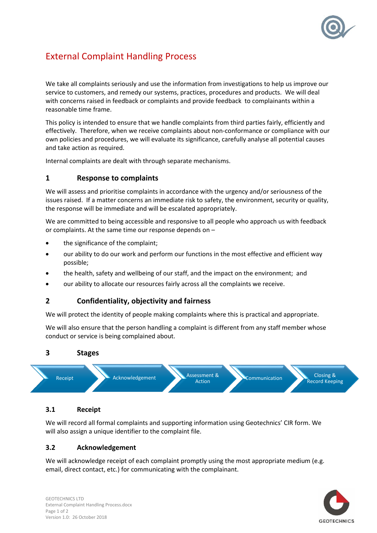

# External Complaint Handling Process

We take all complaints seriously and use the information from investigations to help us improve our service to customers, and remedy our systems, practices, procedures and products. We will deal with concerns raised in feedback or complaints and provide feedback to complainants within a reasonable time frame.

This policy is intended to ensure that we handle complaints from third parties fairly, efficiently and effectively. Therefore, when we receive complaints about non-conformance or compliance with our own policies and procedures, we will evaluate its significance, carefully analyse all potential causes and take action as required.

Internal complaints are dealt with through separate mechanisms.

## **1 Response to complaints**

We will assess and prioritise complaints in accordance with the urgency and/or seriousness of the issues raised. If a matter concerns an immediate risk to safety, the environment, security or quality, the response will be immediate and will be escalated appropriately.

We are committed to being accessible and responsive to all people who approach us with feedback or complaints. At the same time our response depends on –

- the significance of the complaint;
- our ability to do our work and perform our functions in the most effective and efficient way possible;
- the health, safety and wellbeing of our staff, and the impact on the environment; and
- our ability to allocate our resources fairly across all the complaints we receive.

## **2 Confidentiality, objectivity and fairness**

We will protect the identity of people making complaints where this is practical and appropriate.

We will also ensure that the person handling a complaint is different from any staff member whose conduct or service is being complained about.

#### **3 Stages**



### **3.1 Receipt**

We will record all formal complaints and supporting information using Geotechnics' CIR form. We will also assign a unique identifier to the complaint file.

## **3.2 Acknowledgement**

We will acknowledge receipt of each complaint promptly using the most appropriate medium (e.g. email, direct contact, etc.) for communicating with the complainant.